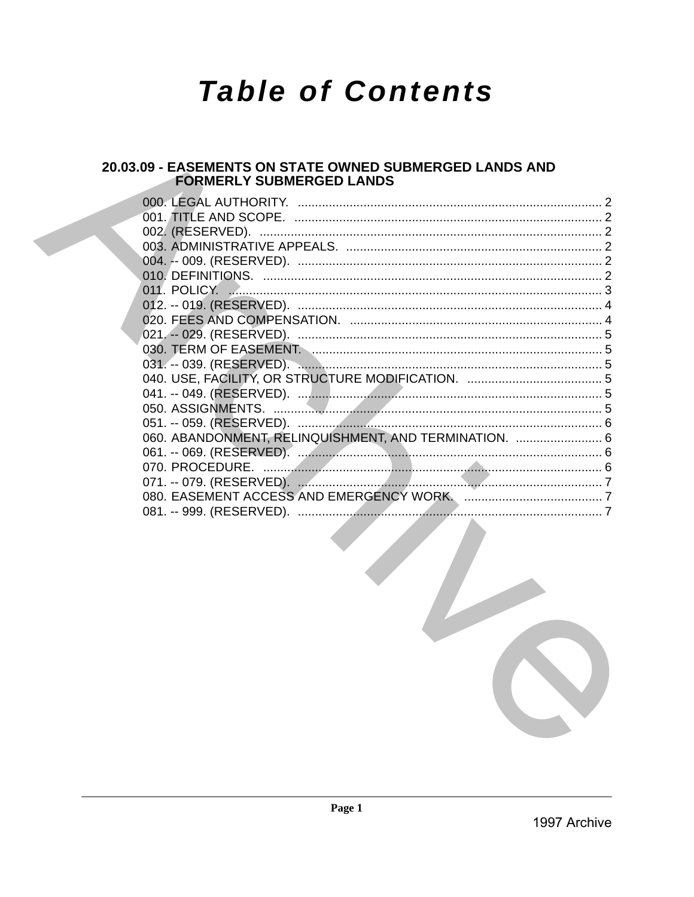# **Table of Contents**

# 20.03.09 - EASEMENTS ON STATE OWNED SUBMERGED LANDS AND **FORMERLY SUBMERGED LANDS**

| 060. ABANDONMENT, RELINQUISHMENT, AND TERMINATION.  6 |  |
|-------------------------------------------------------|--|
|                                                       |  |
|                                                       |  |
|                                                       |  |
|                                                       |  |
|                                                       |  |
|                                                       |  |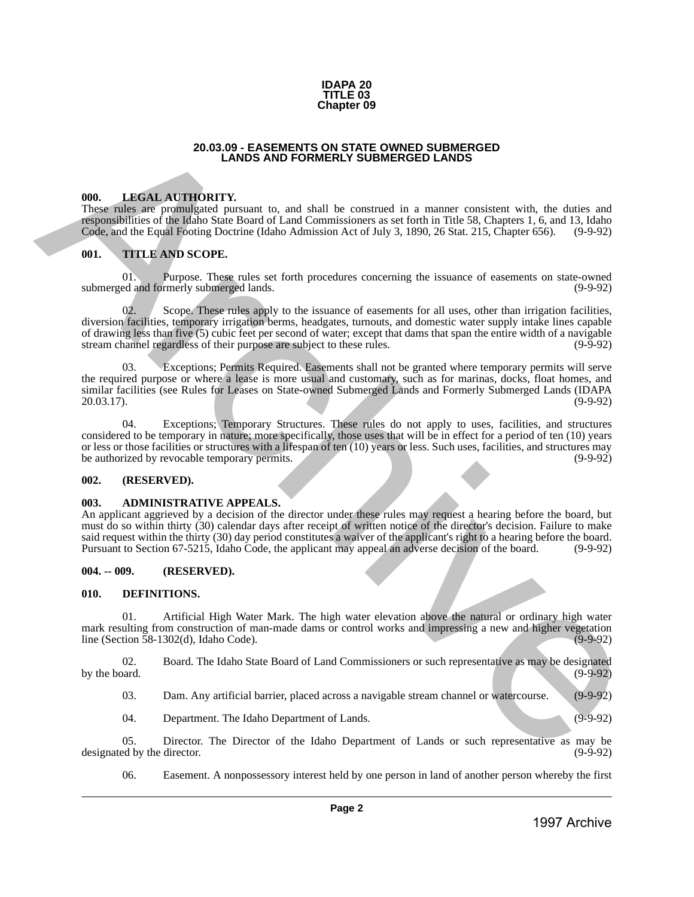

#### **20.03.09 - EASEMENTS ON STATE OWNED SUBMERGED LANDS AND FORMERLY SUBMERGED LANDS**

#### <span id="page-1-1"></span>**000. LEGAL AUTHORITY.**

These rules are promulgated pursuant to, and shall be construed in a manner consistent with, the duties and responsibilities of the Idaho State Board of Land Commissioners as set forth in Title 58, Chapters 1, 6, and 13, Idaho Code, and the Equal Footing Doctrine (Idaho Admission Act of July 3, 1890, 26 Stat. 215, Chapter 656). (9-9-92)

#### <span id="page-1-2"></span>**001. TITLE AND SCOPE.**

01. Purpose. These rules set forth procedures concerning the issuance of easements on state-owned ed and formerly submerged lands. (9-9-92) submerged and formerly submerged lands.

<span id="page-1-0"></span>Scope. These rules apply to the issuance of easements for all uses, other than irrigation facilities, diversion facilities, temporary irrigation berms, headgates, turnouts, and domestic water supply intake lines capable of drawing less than five (5) cubic feet per second of water; except that dams that span the entire width of a navigable stream channel regardless of their purpose are subject to these rules. (9-9-92) stream channel regardless of their purpose are subject to these rules. 20.00 AC **EASIMENTS ON ETHE CONFERENT SUBATIVES UPINES (2018)**<br>
1998. **LHEVAT ATTICURENT.**<br>
The station are proposition of the fighter station and the stationary archives are archives are archives are archives are archive

03. Exceptions; Permits Required. Easements shall not be granted where temporary permits will serve the required purpose or where a lease is more usual and customary, such as for marinas, docks, float homes, and similar facilities (see Rules for Leases on State-owned Submerged Lands and Formerly Submerged Lands (IDAPA 20.03.17). (9-9-92) 20.03.17). (9-9-92)

04. Exceptions; Temporary Structures. These rules do not apply to uses, facilities, and structures considered to be temporary in nature; more specifically, those uses that will be in effect for a period of ten (10) years or less or those facilities or structures with a lifespan of ten (10) years or less. Such uses, facilities, and structures may<br>be authorized by revocable temporary permits. be authorized by revocable temporary permits.

#### <span id="page-1-3"></span>**002. (RESERVED).**

#### <span id="page-1-4"></span>**003. ADMINISTRATIVE APPEALS.**

An applicant aggrieved by a decision of the director under these rules may request a hearing before the board, but must do so within thirty (30) calendar days after receipt of written notice of the director's decision. Failure to make said request within the thirty (30) day period constitutes a waiver of the applicant's right to a hearing before the board. Pursuant to Section 67-5215, Idaho Code, the applicant may appeal an adverse decision of the board. (9-9-92)

#### <span id="page-1-5"></span>**004. -- 009. (RESERVED).**

#### <span id="page-1-6"></span>**010. DEFINITIONS.**

01. Artificial High Water Mark. The high water elevation above the natural or ordinary high water mark resulting from construction of man-made dams or control works and impressing a new and higher vegetation line (Section 58-1302(d), Idaho Code). (9-9-92)

02. Board. The Idaho State Board of Land Commissioners or such representative as may be designated over the USA by the board.

03. Dam. Any artificial barrier, placed across a navigable stream channel or watercourse. (9-9-92)

04. Department. The Idaho Department of Lands. (9-9-92)

05. Director. The Director of the Idaho Department of Lands or such representative as may be ed by the director. (9-9-92) designated by the director.

06. Easement. A nonpossessory interest held by one person in land of another person whereby the first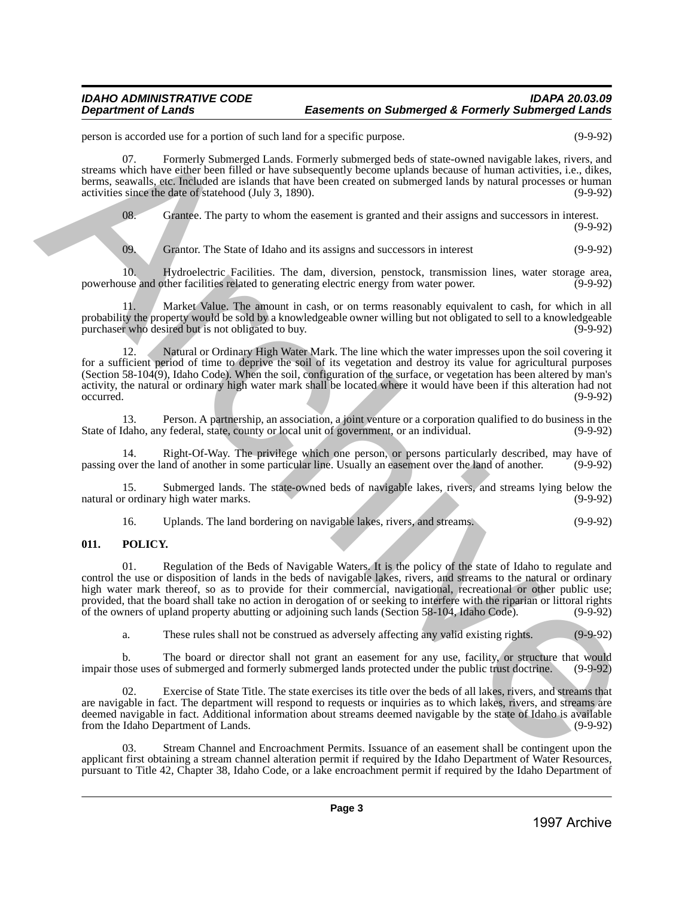#### *IDAHO ADMINISTRATIVE CODE IDAPA 20.03.09* **Easements on Submerged & Formerly Submerged Lands**

person is accorded use for a portion of such land for a specific purpose. (9-9-92)

07. Formerly Submerged Lands. Formerly submerged beds of state-owned navigable lakes, rivers, and streams which have either been filled or have subsequently become uplands because of human activities, i.e., dikes, berms, seawalls, etc. Included are islands that have been created on submerged lands by natural processes or human activities since the date of statehood (July 3, 1890). (9-9-92)

08. Grantee. The party to whom the easement is granted and their assigns and successors in interest.

 $(9-9-92)$ 

09. Grantor. The State of Idaho and its assigns and successors in interest (9-9-92)

10. Hydroelectric Facilities. The dam, diversion, penstock, transmission lines, water storage area, powerhouse and other facilities related to generating electric energy from water power.

11. Market Value. The amount in cash, or on terms reasonably equivalent to cash, for which in all probability the property would be sold by a knowledgeable owner willing but not obligated to sell to a knowledgeable purchaser who desired but is not obligated to buy.

12. Natural or Ordinary High Water Mark. The line which the water impresses upon the soil covering it for a sufficient period of time to deprive the soil of its vegetation and destroy its value for agricultural purposes (Section 58-104(9), Idaho Code). When the soil, configuration of the surface, or vegetation has been altered by man's activity, the natural or ordinary high water mark shall be located where it would have been if this alteration had not occurred. (9-9-92) peace of a subset of a subset of a subset of a subset of a subset of a subset of a subset of a subset of a subset of a subset of a subset of a subset of a subset of a subset of a subset of a subset of a subset of a subset

13. Person. A partnership, an association, a joint venture or a corporation qualified to do business in the Idaho, any federal, state, county or local unit of government, or an individual. (9-9-92) State of Idaho, any federal, state, county or local unit of government, or an individual.

Right-Of-Way. The privilege which one person, or persons particularly described, may have of and of another in some particular line. Usually an easement over the land of another. (9-9-92) passing over the land of another in some particular line. Usually an easement over the land of another.

15. Submerged lands. The state-owned beds of navigable lakes, rivers, and streams lying below the natural or ordinary high water marks.

16. Uplands. The land bordering on navigable lakes, rivers, and streams. (9-9-92)

# <span id="page-2-0"></span>**011. POLICY.**

01. Regulation of the Beds of Navigable Waters. It is the policy of the state of Idaho to regulate and control the use or disposition of lands in the beds of navigable lakes, rivers, and streams to the natural or ordinary high water mark thereof, so as to provide for their commercial, navigational, recreational or other public use; provided, that the board shall take no action in derogation of or seeking to interfere with the riparian or littoral rights of the owners of upland property abutting or adjoining such lands (Section 58-104, Idaho Code). (9-9-92)

a. These rules shall not be construed as adversely affecting any valid existing rights. (9-9-92)

b. The board or director shall not grant an easement for any use, facility, or structure that would impair those uses of submerged and formerly submerged lands protected under the public trust doctrine. (9-9-92)

Exercise of State Title. The state exercises its title over the beds of all lakes, rivers, and streams that are navigable in fact. The department will respond to requests or inquiries as to which lakes, rivers, and streams are deemed navigable in fact. Additional information about streams deemed navigable by the state of Idaho is available<br>(9-9-92) from the Idaho Department of Lands.

03. Stream Channel and Encroachment Permits. Issuance of an easement shall be contingent upon the applicant first obtaining a stream channel alteration permit if required by the Idaho Department of Water Resources, pursuant to Title 42, Chapter 38, Idaho Code, or a lake encroachment permit if required by the Idaho Department of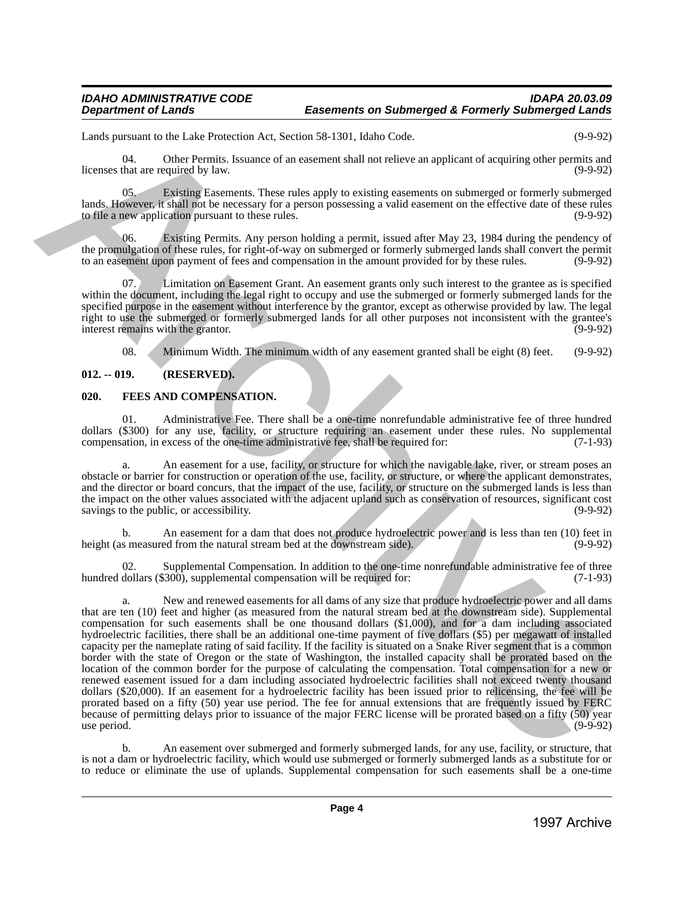Lands pursuant to the Lake Protection Act, Section 58-1301, Idaho Code. (9-9-92)

04. Other Permits. Issuance of an easement shall not relieve an applicant of acquiring other permits and licenses that are required by law. (9-9-92)

05. Existing Easements. These rules apply to existing easements on submerged or formerly submerged lands. However, it shall not be necessary for a person possessing a valid easement on the effective date of these rules to file a new application pursuant to these rules. to file a new application pursuant to these rules.

Existing Permits. Any person holding a permit, issued after May 23, 1984 during the pendency of the promulgation of these rules, for right-of-way on submerged or formerly submerged lands shall convert the permit<br>to an easement upon payment of fees and compensation in the amount provided for by these rules. (9-9-92) to an easement upon payment of fees and compensation in the amount provided for by these rules.

Limitation on Easement Grant. An easement grants only such interest to the grantee as is specified within the document, including the legal right to occupy and use the submerged or formerly submerged lands for the specified purpose in the easement without interference by the grantor, except as otherwise provided by law. The legal right to use the submerged or formerly submerged lands for all other purposes not inconsistent with the grantee's interest remains with the grantor. (9-9-92) interest remains with the grantor.

08. Minimum Width. The minimum width of any easement granted shall be eight (8) feet. (9-9-92)

# <span id="page-3-0"></span>**012. -- 019. (RESERVED).**

# <span id="page-3-1"></span>**020. FEES AND COMPENSATION.**

01. Administrative Fee. There shall be a one-time nonrefundable administrative fee of three hundred dollars (\$300) for any use, facility, or structure requiring an easement under these rules. No supplemental compensation, in excess of the one-time administrative fee, shall be required for: (7-1-93) compensation, in excess of the one-time administrative fee, shall be required for:

An easement for a use, facility, or structure for which the navigable lake, river, or stream poses an obstacle or barrier for construction or operation of the use, facility, or structure, or where the applicant demonstrates, and the director or board concurs, that the impact of the use, facility, or structure on the submerged lands is less than the impact on the other values associated with the adjacent upland such as conservation of resources, significant cost savings to the public, or accessibility. (9-9-92) (9-9-92)

b. An easement for a dam that does not produce hydroelectric power and is less than ten (10) feet in s measured from the natural stream bed at the downstream side). (9-9-92) height (as measured from the natural stream bed at the downstream side).

02. Supplemental Compensation. In addition to the one-time nonrefundable administrative fee of three dollars (\$300), supplemental compensation will be required for: (7-1-93) hundred dollars  $(\$300)$ , supplemental compensation will be required for:

a. New and renewed easements for all dams of any size that produce hydroelectric power and all dams that are ten (10) feet and higher (as measured from the natural stream bed at the downstream side). Supplemental compensation for such easements shall be one thousand dollars (\$1,000), and for a dam including associated hydroelectric facilities, there shall be an additional one-time payment of five dollars (\$5) per megawatt of installed capacity per the nameplate rating of said facility. If the facility is situated on a Snake River segment that is a common border with the state of Oregon or the state of Washington, the installed capacity shall be prorated based on the location of the common border for the purpose of calculating the compensation. Total compensation for a new or renewed easement issued for a dam including associated hydroelectric facilities shall not exceed twenty thousand dollars (\$20,000). If an easement for a hydroelectric facility has been issued prior to relicensing, the fee will be prorated based on a fifty (50) year use period. The fee for annual extensions that are frequently issued by FERC because of permitting delays prior to issuance of the major FERC license will be prorated based on a fifty (50) year<br>(9-9-92)  $use period.$  (9-9-92) Leads parameter that be the theoretically considered by the control of explicit the control of the state of the state of the state of the state of the state of the state of the state of the state of the state of the state

b. An easement over submerged and formerly submerged lands, for any use, facility, or structure, that is not a dam or hydroelectric facility, which would use submerged or formerly submerged lands as a substitute for or to reduce or eliminate the use of uplands. Supplemental compensation for such easements shall be a one-time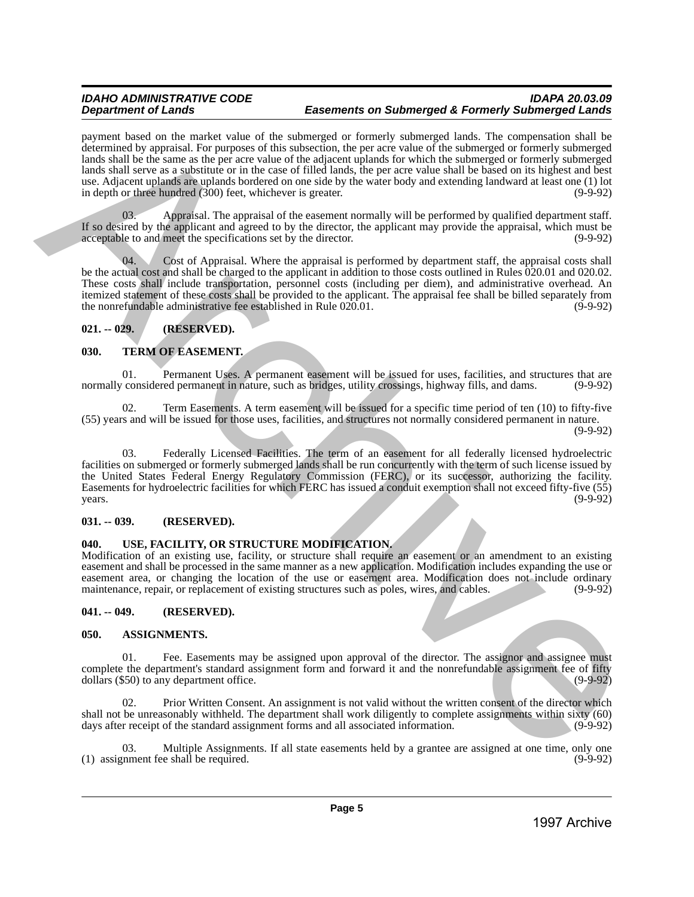# *IDAHO ADMINISTRATIVE CODE IDAPA 20.03.09* **Easements on Submerged & Formerly Submerged Lands**

payment based on the market value of the submerged or formerly submerged lands. The compensation shall be determined by appraisal. For purposes of this subsection, the per acre value of the submerged or formerly submerged lands shall be the same as the per acre value of the adjacent uplands for which the submerged or formerly submerged lands shall serve as a substitute or in the case of filled lands, the per acre value shall be based on its highest and best use. Adjacent uplands are uplands bordered on one side by the water body and extending landward at least one (1) lot in depth or three hundred (300) feet, whichever is greater. (9-9-92) points when the matrix the set of a subsect of a subsect of a subsect of a subsect of a subsect of a subsect of a subsect of a subsect of a subsect of a subsect of a subsect of a subsect of a subsect of a subsect of a sub

Appraisal. The appraisal of the easement normally will be performed by qualified department staff. If so desired by the applicant and agreed to by the director, the applicant may provide the appraisal, which must be acceptable to and meet the specifications set by the director. (9-9-92)

Cost of Appraisal. Where the appraisal is performed by department staff, the appraisal costs shall be the actual cost and shall be charged to the applicant in addition to those costs outlined in Rules 020.01 and 020.02. These costs shall include transportation, personnel costs (including per diem), and administrative overhead. An itemized statement of these costs shall be provided to the applicant. The appraisal fee shall be billed separately from<br>the nonrefundable administrative fee established in Rule 020.01. (9-9-92) the nonrefundable administrative fee established in Rule  $020.01$ .

# <span id="page-4-0"></span>**021. -- 029. (RESERVED).**

# <span id="page-4-1"></span>**030. TERM OF EASEMENT.**

01. Permanent Uses. A permanent easement will be issued for uses, facilities, and structures that are represent in nature, such as bridges, utility crossings, highway fills, and dams. (9-9-92) normally considered permanent in nature, such as bridges, utility crossings, highway fills, and dams.

02. Term Easements. A term easement will be issued for a specific time period of ten (10) to fifty-five (55) years and will be issued for those uses, facilities, and structures not normally considered permanent in nature.

(9-9-92)

03. Federally Licensed Facilities. The term of an easement for all federally licensed hydroelectric facilities on submerged or formerly submerged lands shall be run concurrently with the term of such license issued by the United States Federal Energy Regulatory Commission (FERC), or its successor, authorizing the facility. Easements for hydroelectric facilities for which FERC has issued a conduit exemption shall not exceed fifty-five (55)  $years.$  (9-9-92)

# <span id="page-4-2"></span>**031. -- 039. (RESERVED).**

# <span id="page-4-3"></span>**040. USE, FACILITY, OR STRUCTURE MODIFICATION.**

Modification of an existing use, facility, or structure shall require an easement or an amendment to an existing easement and shall be processed in the same manner as a new application. Modification includes expanding the use or easement area, or changing the location of the use or easement area. Modification does not include ordinary maintenance, repair, or replacement of existing structures such as poles, wires, and cables. (9-9-92) maintenance, repair, or replacement of existing structures such as poles, wires, and cables.

# <span id="page-4-4"></span>**041. -- 049. (RESERVED).**

# <span id="page-4-5"></span>**050. ASSIGNMENTS.**

01. Fee. Easements may be assigned upon approval of the director. The assignor and assignee must complete the department's standard assignment form and forward it and the nonrefundable assignment fee of fifty dollars (\$50) to any department office. dollars  $(\$50)$  to any department office.

02. Prior Written Consent. An assignment is not valid without the written consent of the director which shall not be unreasonably withheld. The department shall work diligently to complete assignments within sixty (60) days after receipt of the standard assignment forms and all associated information. (9-9-92) days after receipt of the standard assignment forms and all associated information.

03. Multiple Assignments. If all state easements held by a grantee are assigned at one time, only one  $(1)$  assignment fee shall be required.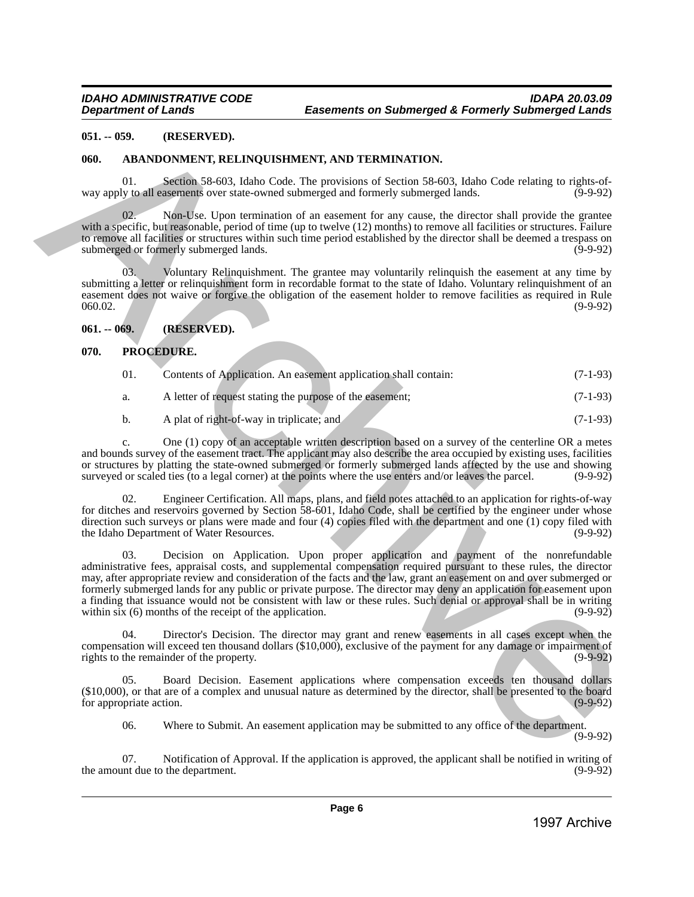#### <span id="page-5-0"></span>**051. -- 059. (RESERVED).**

#### <span id="page-5-1"></span>**060. ABANDONMENT, RELINQUISHMENT, AND TERMINATION.**

01. Section 58-603, Idaho Code. The provisions of Section 58-603, Idaho Code relating to rights-of-<br>ly to all easements over state-owned submerged and formerly submerged lands. (9-9-92) way apply to all easements over state-owned submerged and formerly submerged lands.

Non-Use. Upon termination of an easement for any cause, the director shall provide the grantee with a specific, but reasonable, period of time (up to twelve (12) months) to remove all facilities or structures. Failure to remove all facilities or structures within such time period established by the director shall be deemed a trespass on submerged or formerly submerged lands. (9-9-92) submerged or formerly submerged lands.

03. Voluntary Relinquishment. The grantee may voluntarily relinquish the easement at any time by submitting a letter or relinquishment form in recordable format to the state of Idaho. Voluntary relinquishment of an easement does not waive or forgive the obligation of the easement holder to remove facilities as required in Rule 060.02. (9-9-92)

# <span id="page-5-2"></span>**061. -- 069. (RESERVED).**

#### <span id="page-5-3"></span>**070. PROCEDURE.**

- 01. Contents of Application. An easement application shall contain: (7-1-93)
- a. A letter of request stating the purpose of the easement; (7-1-93)
- b. A plat of right-of-way in triplicate; and (7-1-93)

c. One (1) copy of an acceptable written description based on a survey of the centerline OR a metes and bounds survey of the easement tract. The applicant may also describe the area occupied by existing uses, facilities or structures by platting the state-owned submerged or formerly submerged lands affected by the use and showing surveyed or scaled ties (to a legal corner) at the points where the use enters and/or leaves the parcel.

Engineer Certification. All maps, plans, and field notes attached to an application for rights-of-way for ditches and reservoirs governed by Section 58-601, Idaho Code, shall be certified by the engineer under whose direction such surveys or plans were made and four (4) copies filed with the department and one (1) copy filed with the Idaho Department of Water Resources. the Idaho Department of Water Resources.

03. Decision on Application. Upon proper application and payment of the nonrefundable administrative fees, appraisal costs, and supplemental compensation required pursuant to these rules, the director may, after appropriate review and consideration of the facts and the law, grant an easement on and over submerged or formerly submerged lands for any public or private purpose. The director may deny an application for easement upon a finding that issuance would not be consistent with law or these rules. Such denial or approval shall be in writing within six (6) months of the receipt of the application.  $(9-9-92)$ **1997.** (account the matter of Appendix Archive Archive Archive Archive Archive Archive Archive Archive Archive Archive Archive Archive Archive Archive Archive Archive Archive Archive Archive Archive Archive Archive Archi

04. Director's Decision. The director may grant and renew easements in all cases except when the compensation will exceed ten thousand dollars (\$10,000), exclusive of the payment for any damage or impairment of rights to the remainder of the property. rights to the remainder of the property.

05. Board Decision. Easement applications where compensation exceeds ten thousand dollars  $(10,000)$ , or that are of a complex and unusual nature as determined by the director, shall be presented to the board for appropriate action. for appropriate action.

06. Where to Submit. An easement application may be submitted to any office of the department.

(9-9-92)

07. Notification of Approval. If the application is approved, the applicant shall be notified in writing of unt due to the department. (9-9-92) the amount due to the department.